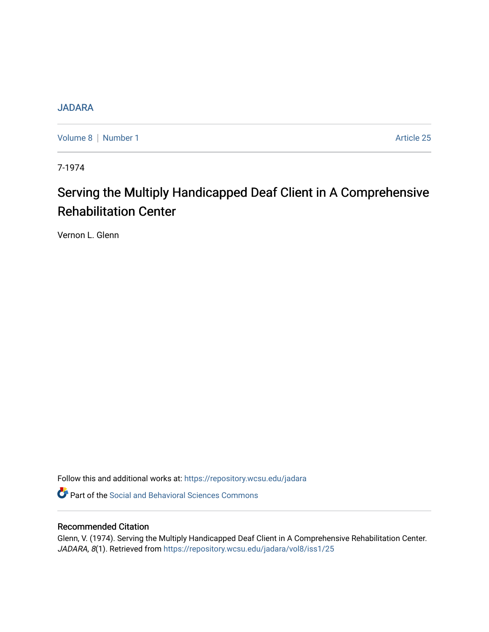## **[JADARA](https://repository.wcsu.edu/jadara)**

[Volume 8](https://repository.wcsu.edu/jadara/vol8) | [Number 1](https://repository.wcsu.edu/jadara/vol8/iss1) Article 25

7-1974

# Serving the Multiply Handicapped Deaf Client in A Comprehensive Rehabilitation Center

Vernon L. Glenn

Follow this and additional works at: [https://repository.wcsu.edu/jadara](https://repository.wcsu.edu/jadara?utm_source=repository.wcsu.edu%2Fjadara%2Fvol8%2Fiss1%2F25&utm_medium=PDF&utm_campaign=PDFCoverPages)

**P** Part of the Social and Behavioral Sciences Commons

### Recommended Citation

Glenn, V. (1974). Serving the Multiply Handicapped Deaf Client in A Comprehensive Rehabilitation Center. JADARA, 8(1). Retrieved from [https://repository.wcsu.edu/jadara/vol8/iss1/25](https://repository.wcsu.edu/jadara/vol8/iss1/25?utm_source=repository.wcsu.edu%2Fjadara%2Fvol8%2Fiss1%2F25&utm_medium=PDF&utm_campaign=PDFCoverPages)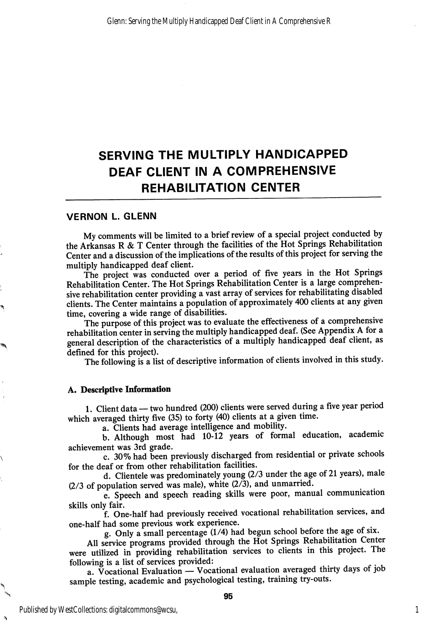# SERVING THE MULTIPLY HANDICAPPED DEAF CLIENT IN A COMPREHENSIVE REHABILITATION CENTER

#### VERNON L. GLENN

My comments will be limited to a brief review of a special project conducted by the Arkansas R & T Center through the facilities of the Hot Springs Rehabilitation Center and a discussion of the implications of the results of this project for serving the multiply handicapped deaf client.

The project was conducted over a period of five years in the Hot Springs Rehabilitation Center. The Hot Springs Rehabilitation Center is a large comprehen sive rehabilitation center providing a vast array of services for rehabilitating disabled clients. The Center maintains a population of approximately 400 clients at any given time, covering a wide range of disabilities.

The purpose of this project was to evaluate the effectiveness of a comprehensive rehabilitation center in serving the multiply handicapped deaf. (See Appendix A for a general description of the characteristics of a multiply handicapped deaf client, as defined for this project).

The following is a list of descriptive information of clients involved in this study.

#### A. Descriptive Information

1. Client data — two hundred (200) clients were served during a five year period which averaged thirty five (35) to forty (40) clients at a given time.

a. Clients had average intelligence and mobility.

b. Although most had 10-12 years of formal education, academic achievement was 3rd grade.

c. 30% had been previously discharged from residential or private schools for the deaf or from other rehabilitation facilities.

d. Clientele was predominately young (2/3 under the age of 21 years), male  $(2/3)$  of population served was male), white  $(2\bar{7})$ , and unmarried.

e. Speech and speech reading skills were poor, manual communication skills only fair.

f. One-half had previously received vocational rehabilitation services, and one-half had some previous work experience.

g. Only a small percentage (1/4) had begun school before the age of six.

All service programs provided through the Hot Springs Rehabilitation Center were utilized in providing rehabilitation services to clients in this project. The following is a list of services provided;

a. Vocational Evaluation — Vocational evaluation averaged thirty days of job sample testing, academic and psychological testing, training try-outs.

1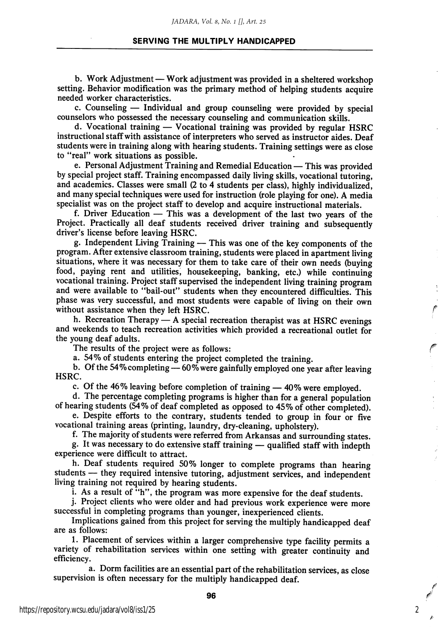#### SERVING THE MULTIPLY HANDICAPPED

b. Work Adjustment — Work adjustment was provided in a sheltered workshop setting. Behavior modification was the primary method of helping students acquire needed worker characteristics.

c. Counseling — Individual and group counseling were provided by special counselors who possessed the necessary counseling and communication skills.

d. Vocational training — Vocational training was provided by regular HSRC instructional staff with assistance of interpreters who served as instructor aides. Deaf students were in training along with hearing students. Training settings were as close to "real" work situations as possible.

e. Personal Adjustment Training and Remedial Education — This was provided by special project staff. Training encompassed daily living skills, vocational tutoring, and academics. Classes were small (2 to 4 students per class), highly individualized, and many special techniques were used for instruction (role playing for one). A media specialist was on the project staff to develop and acquire instructional materials.

f. Driver Education — This was a development of the last two years of the Project. Practically all deaf students received driver training and subsequently driver's license before leaving HSRC.

g. Independent Living Training — This was one of the key components of the program. After extensive classroom training, students were placed in apartment living situations, where it was necessary for them to take care of their own needs (buying food, paying rent and utilities, housekeeping, banking, etc.) while continuing vocational training. Project staff supervised the independent living training program and were available to "bail-out" students when they encountered difficulties. This phase was very successful, and most students were capable of living on their own without assistance when they left HSRC.

h. Recreation Therapy — A special recreation therapist was at HSRC evenings and weekends to teach recreation activities which provided a recreational outlet for the young deaf adults.

The results of the project were as follows:

a. 54% of students entering the project completed the training.

b. Of the 54%completing—60% were gainfully employed one year after leaving HSRC.

c. Of the 46% leaving before completion of training — 40% were employed.

d. The percentage completing programs is higher than for a general population of hearing students (54% of deaf completed as opposed to 45% of other completed).

e. Despite efforts to the contrary, students tended to group in four or five vocational training areas (printing, laundry, dry-cleaning, upholstery).

f. The majority of students were referred from Arkansas and surrounding states.

g. It was necessary to do extensive staff training — qualified staff with indepth experience were difficult to attract.

h. Deaf students required 50% longer to complete programs than hearing students — they required intensive tutoring, adjustment services, and independent living training not required by hearing students.

i. As a result of "h", the program was more expensive for the deaf students.

j. Project clients who were older and had previous work experience were more successful in completing programs than younger, inexperienced clients.

Implications gained from this project for serving the multiply handicapped deaf are as follows:

1. Placement of services within a larger comprehensive type facility permits a variety of rehabilitation services within one setting with greater continuity and efficiency.

a. Dorm facilities are an essential part of the rehabilitation services, as close supervision is often necessary for the multiply handicapped deaf.

2